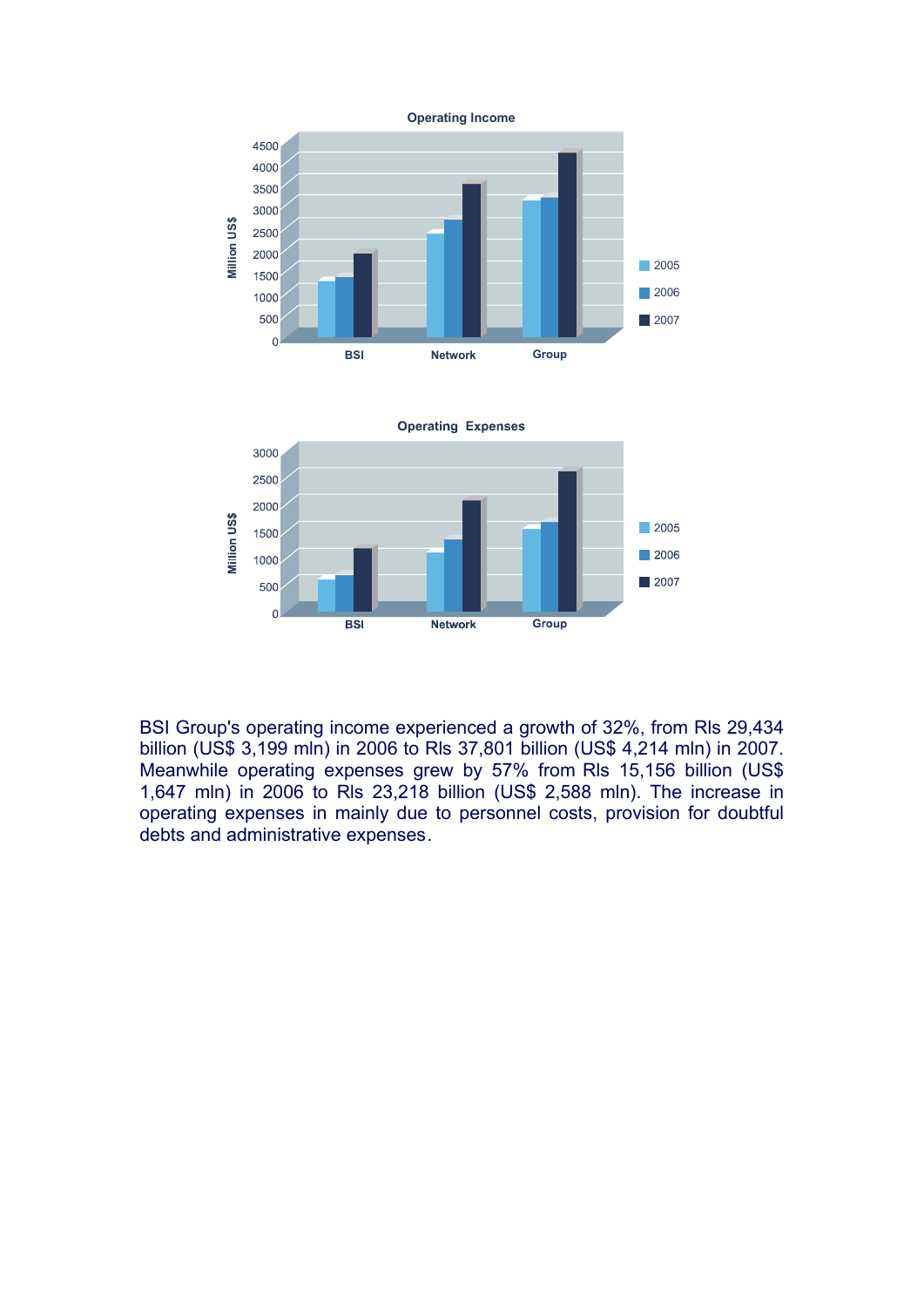

BSI Group's operating income experienced a growth of 32%, from Rls 29,434 billion (US\$ 3,199 mln) in 2006 to Rls 37,801 billion (US\$ 4,214 mln) in 2007. Meanwhile operating expenses grew by 57% from Rls 15,156 billion (US\$ 1,647 mln) in 2006 to Rls 23,218 billion (US\$ 2,588 mln). The increase in operating expenses in mainly due to personnel costs, provision for doubtful debts and administrative expenses.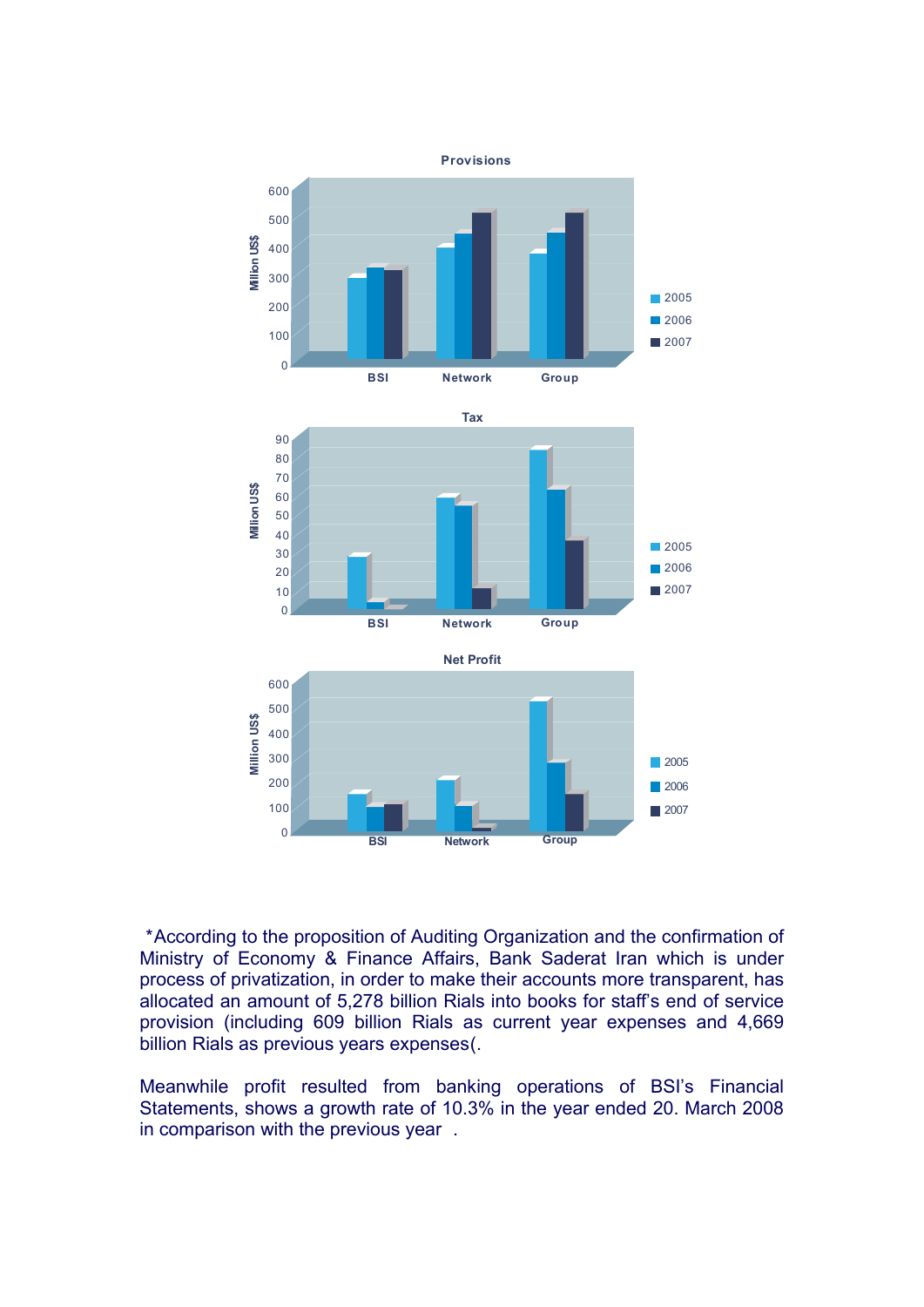

 \*According to the proposition of Auditing Organization and the confirmation of Ministry of Economy & Finance Affairs, Bank Saderat Iran which is under process of privatization, in order to make their accounts more transparent, has allocated an amount of 5,278 billion Rials into books for staff's end of service provision (including 609 billion Rials as current year expenses and 4,669 billion Rials as previous years expenses(.

Meanwhile profit resulted from banking operations of BSI's Financial Statements, shows a growth rate of 10.3% in the year ended 20. March 2008 in comparison with the previous year .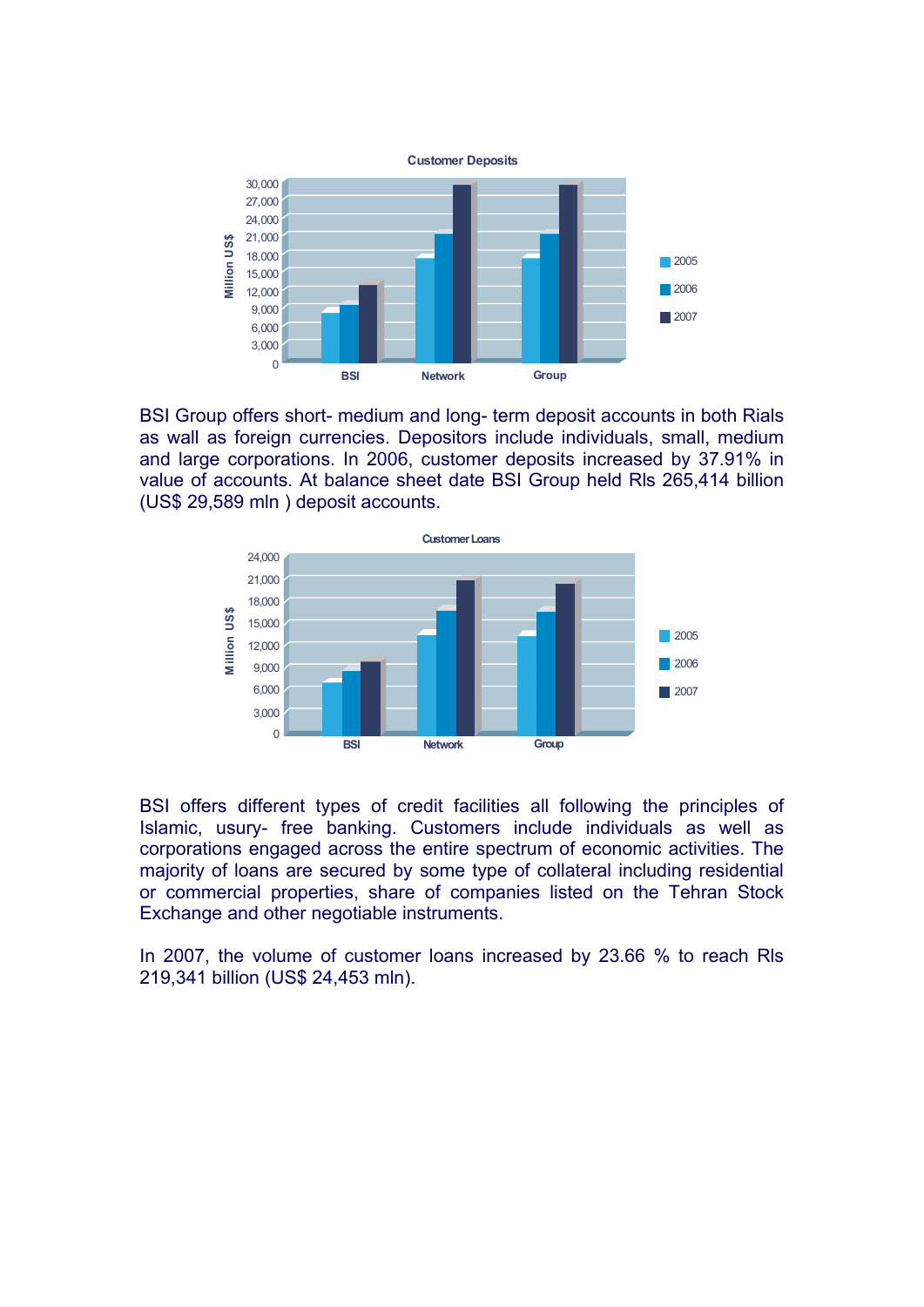

BSI Group offers short- medium and long- term deposit accounts in both Rials as wall as foreign currencies. Depositors include individuals, small, medium and large corporations. In 2006, customer deposits increased by 37.91% in value of accounts. At balance sheet date BSI Group held Rls 265,414 billion (US\$ 29,589 mln ) deposit accounts.



BSI offers different types of credit facilities all following the principles of Islamic, usury- free banking. Customers include individuals as well as corporations engaged across the entire spectrum of economic activities. The majority of loans are secured by some type of collateral including residential or commercial properties, share of companies listed on the Tehran Stock Exchange and other negotiable instruments.

In 2007, the volume of customer loans increased by 23.66 % to reach Rls 219,341 billion (US\$ 24,453 mln).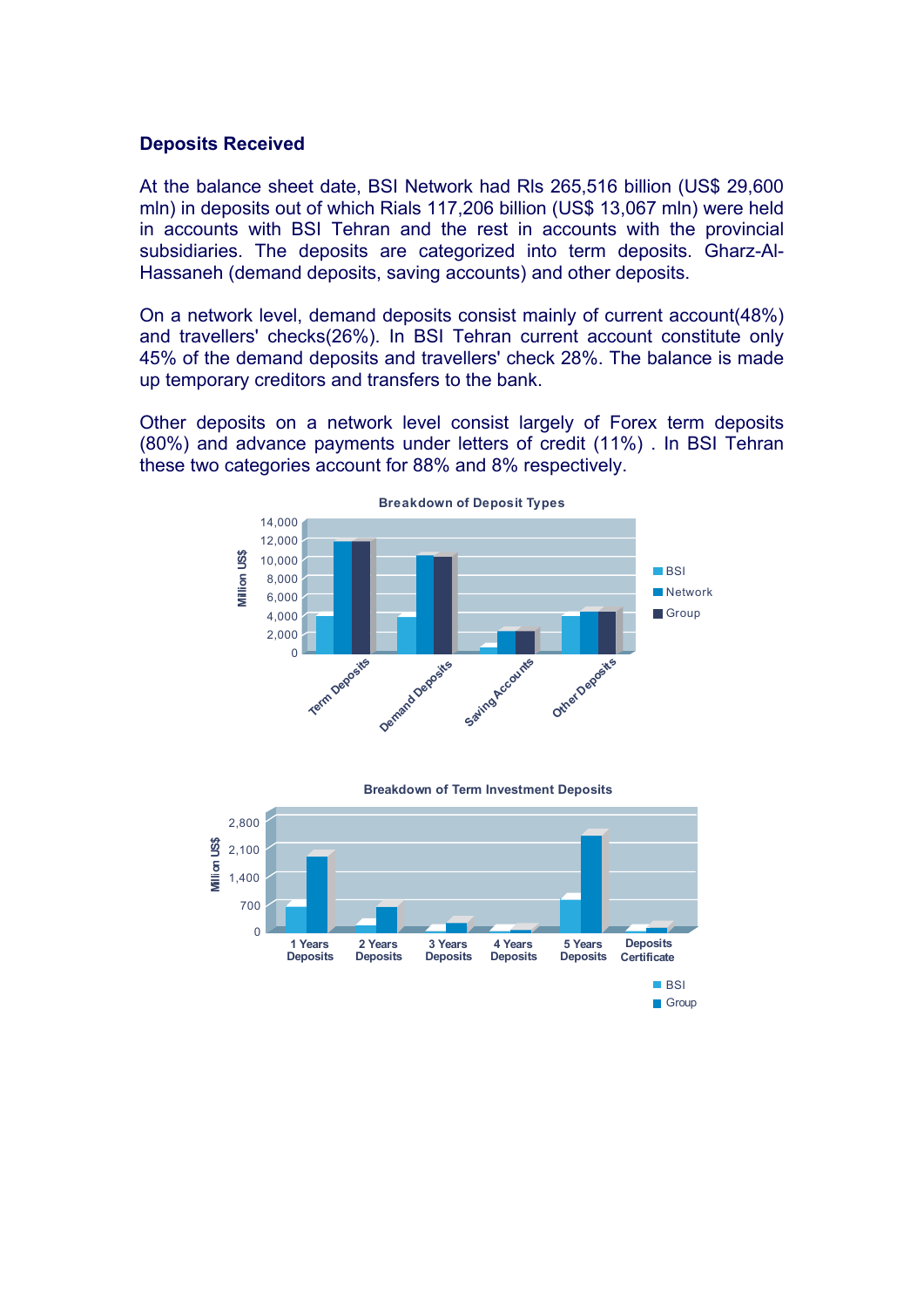### **Deposits Received**

At the balance sheet date, BSI Network had Rls 265,516 billion (US\$ 29,600 mln) in deposits out of which Rials 117,206 billion (US\$ 13,067 mln) were held in accounts with BSI Tehran and the rest in accounts with the provincial subsidiaries. The deposits are categorized into term deposits. Gharz-Al-Hassaneh (demand deposits, saving accounts) and other deposits.

On a network level, demand deposits consist mainly of current account(48%) and travellers' checks(26%). In BSI Tehran current account constitute only 45% of the demand deposits and travellers' check 28%. The balance is made up temporary creditors and transfers to the bank.

Other deposits on a network level consist largely of Forex term deposits (80%) and advance payments under letters of credit (11%) . In BSI Tehran these two categories account for 88% and 8% respectively.



**Breakdown of Term Investment Deposits**

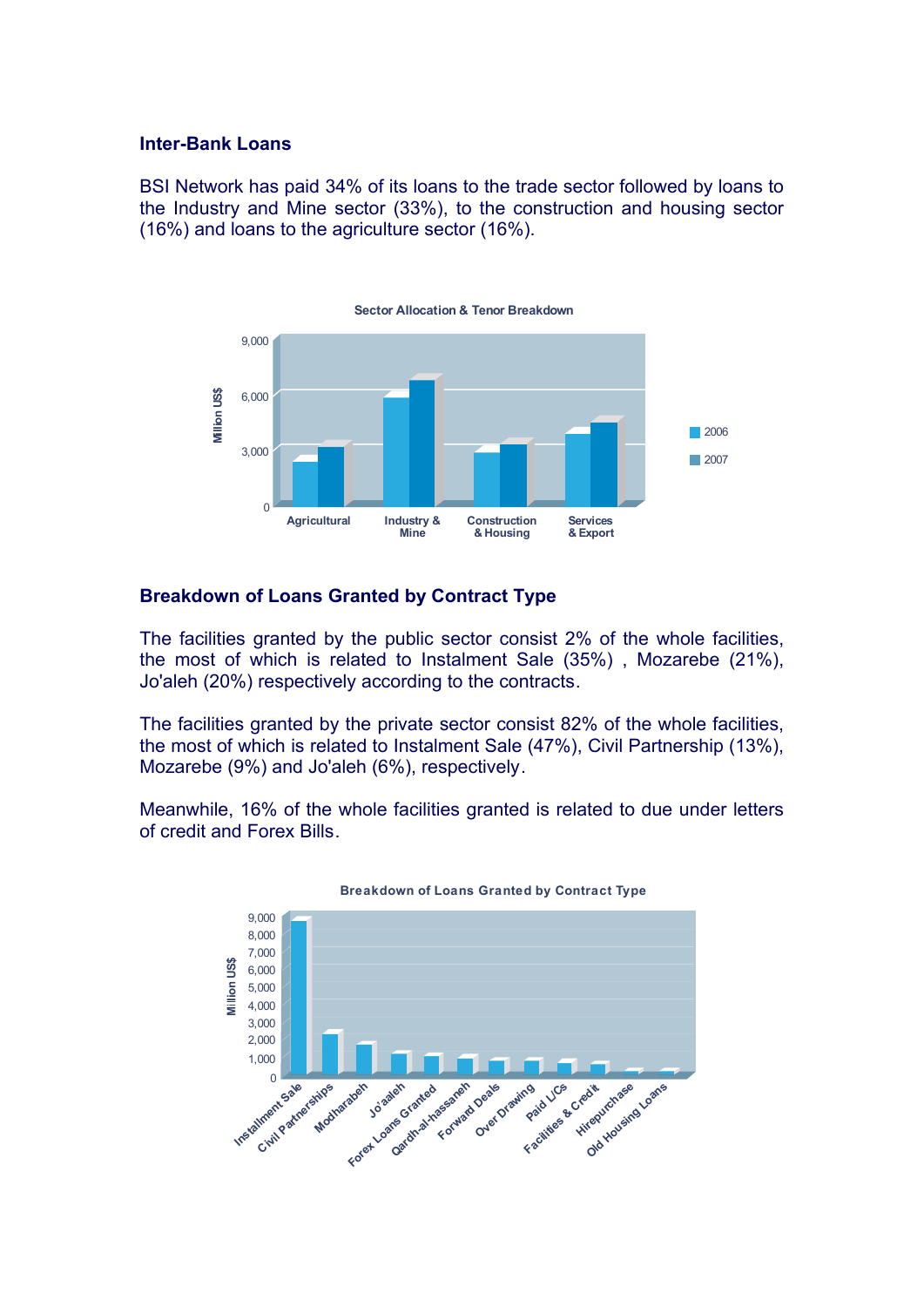### **Inter-Bank Loans**

BSI Network has paid 34% of its loans to the trade sector followed by loans to the Industry and Mine sector (33%), to the construction and housing sector (16%) and loans to the agriculture sector (16%).



# **Breakdown of Loans Granted by Contract Type**

The facilities granted by the public sector consist 2% of the whole facilities, the most of which is related to Instalment Sale (35%) , Mozarebe (21%), Jo'aleh (20%) respectively according to the contracts.

The facilities granted by the private sector consist 82% of the whole facilities, the most of which is related to Instalment Sale (47%), Civil Partnership (13%), Mozarebe (9%) and Jo'aleh (6%), respectively.

Meanwhile, 16% of the whole facilities granted is related to due under letters of credit and Forex Bills.



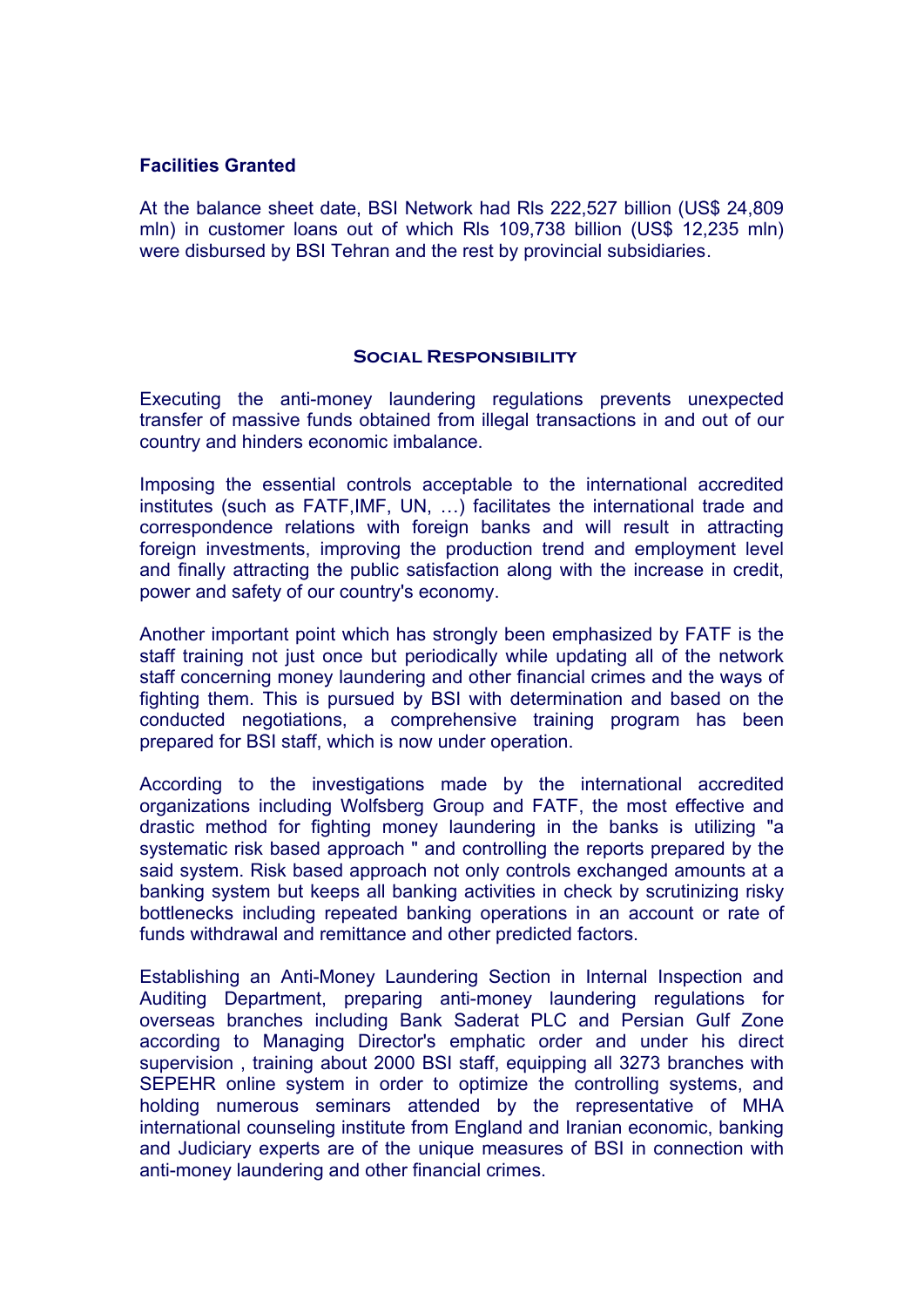# **Facilities Granted**

At the balance sheet date, BSI Network had Rls 222,527 billion (US\$ 24,809 mln) in customer loans out of which Rls 109,738 billion (US\$ 12,235 mln) were disbursed by BSI Tehran and the rest by provincial subsidiaries.

### **Social Responsibility**

Executing the anti-money laundering regulations prevents unexpected transfer of massive funds obtained from illegal transactions in and out of our country and hinders economic imbalance.

Imposing the essential controls acceptable to the international accredited institutes (such as FATF,IMF, UN, …) facilitates the international trade and correspondence relations with foreign banks and will result in attracting foreign investments, improving the production trend and employment level and finally attracting the public satisfaction along with the increase in credit, power and safety of our country's economy.

Another important point which has strongly been emphasized by FATF is the staff training not just once but periodically while updating all of the network staff concerning money laundering and other financial crimes and the ways of fighting them. This is pursued by BSI with determination and based on the conducted negotiations, a comprehensive training program has been prepared for BSI staff, which is now under operation.

According to the investigations made by the international accredited organizations including Wolfsberg Group and FATF, the most effective and drastic method for fighting money laundering in the banks is utilizing "a systematic risk based approach " and controlling the reports prepared by the said system. Risk based approach not only controls exchanged amounts at a banking system but keeps all banking activities in check by scrutinizing risky bottlenecks including repeated banking operations in an account or rate of funds withdrawal and remittance and other predicted factors.

Establishing an Anti-Money Laundering Section in Internal Inspection and Auditing Department, preparing anti-money laundering regulations for overseas branches including Bank Saderat PLC and Persian Gulf Zone according to Managing Director's emphatic order and under his direct supervision , training about 2000 BSI staff, equipping all 3273 branches with SEPEHR online system in order to optimize the controlling systems, and holding numerous seminars attended by the representative of MHA international counseling institute from England and Iranian economic, banking and Judiciary experts are of the unique measures of BSI in connection with anti-money laundering and other financial crimes.